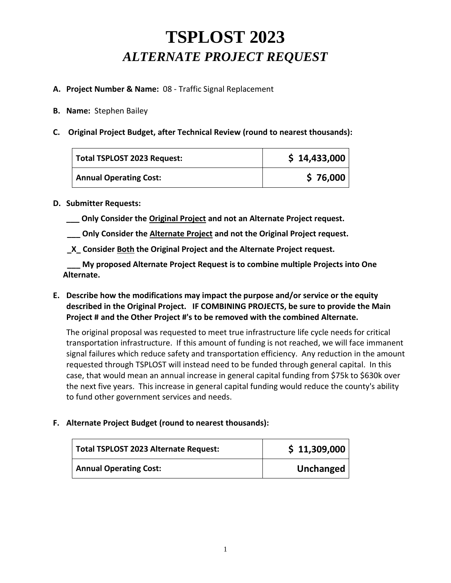# **TSPLOST 2023**  *ALTERNATE PROJECT REQUEST*

### **A. Project Number & Name:** 08 - Traffic Signal Replacement

- **B. Name:** Stephen Bailey
- **C. Original Project Budget, after Technical Review (round to nearest thousands):**

| Total TSPLOST 2023 Request:   | \$14,433,000 |
|-------------------------------|--------------|
| <b>Annual Operating Cost:</b> | \$76,000     |

#### **D. Submitter Requests:**

- **\_\_\_ Only Consider the Original Project and not an Alternate Project request.**
- **\_\_\_ Only Consider the Alternate Project and not the Original Project request.**
- **\_X\_ Consider Both the Original Project and the Alternate Project request.**

**My proposed Alternate Project Request is to combine multiple Projects into One Alternate.**

**E. Describe how the modifications may impact the purpose and/or service or the equity described in the Original Project. IF COMBINING PROJECTS, be sure to provide the Main Project # and the Other Project #'s to be removed with the combined Alternate.**

The original proposal was requested to meet true infrastructure life cycle needs for critical transportation infrastructure. If this amount of funding is not reached, we will face immanent signal failures which reduce safety and transportation efficiency. Any reduction in the amount requested through TSPLOST will instead need to be funded through general capital. In this case, that would mean an annual increase in general capital funding from \$75k to \$630k over the next five years. This increase in general capital funding would reduce the county's ability to fund other government services and needs.

### **F. Alternate Project Budget (round to nearest thousands):**

| Total TSPLOST 2023 Alternate Request: | \$11,309,000 |
|---------------------------------------|--------------|
| <b>Annual Operating Cost:</b>         | Unchanged    |